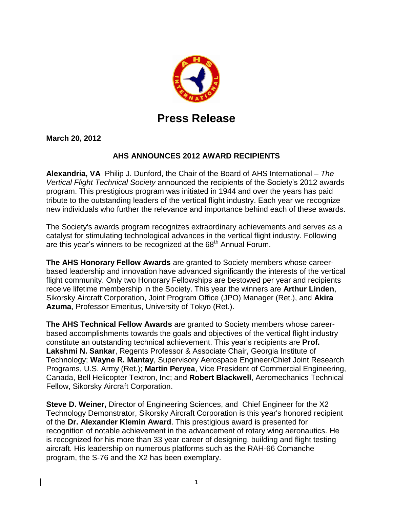

## **Press Release**

**March 20, 2012**

## **AHS ANNOUNCES 2012 AWARD RECIPIENTS**

**Alexandria, VA** Philip J. Dunford, the Chair of the Board of AHS International – *The Vertical Flight Technical Society* announced the recipients of the Society's 2012 awards program. This prestigious program was initiated in 1944 and over the years has paid tribute to the outstanding leaders of the vertical flight industry. Each year we recognize new individuals who further the relevance and importance behind each of these awards.

The Society's awards program recognizes extraordinary achievements and serves as a catalyst for stimulating technological advances in the vertical flight industry. Following are this year's winners to be recognized at the 68<sup>th</sup> Annual Forum.

**The AHS Honorary Fellow Awards** are granted to Society members whose careerbased leadership and innovation have advanced significantly the interests of the vertical flight community. Only two Honorary Fellowships are bestowed per year and recipients receive lifetime membership in the Society. This year the winners are **Arthur Linden**, Sikorsky Aircraft Corporation, Joint Program Office (JPO) Manager (Ret.), and **Akira Azuma**, Professor Emeritus, University of Tokyo (Ret.).

**The AHS Technical Fellow Awards** are granted to Society members whose careerbased accomplishments towards the goals and objectives of the vertical flight industry constitute an outstanding technical achievement. This year's recipients are **Prof. Lakshmi N. Sankar**, Regents Professor & Associate Chair, Georgia Institute of Technology; **Wayne R. Mantay**, Supervisory Aerospace Engineer/Chief Joint Research Programs, U.S. Army (Ret.); **Martin Peryea**, Vice President of Commercial Engineering, Canada, Bell Helicopter Textron, Inc; and **Robert Blackwell**, Aeromechanics Technical Fellow, Sikorsky Aircraft Corporation.

**Steve D. Weiner,** Director of Engineering Sciences, and Chief Engineer for the X2 Technology Demonstrator, Sikorsky Aircraft Corporation is this year's honored recipient of the **Dr. Alexander Klemin Award**. This prestigious award is presented for recognition of notable achievement in the advancement of rotary wing aeronautics. He is recognized for his more than 33 year career of designing, building and flight testing aircraft. His leadership on numerous platforms such as the RAH-66 Comanche program, the S-76 and the X2 has been exemplary.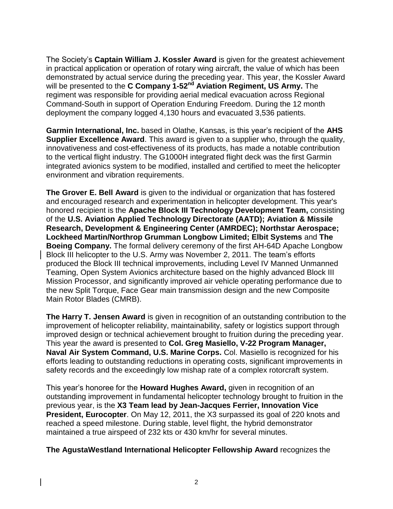The Society's **Captain William J. Kossler Award** is given for the greatest achievement in practical application or operation of rotary wing aircraft, the value of which has been demonstrated by actual service during the preceding year. This year, the Kossler Award will be presented to the **C Company 1-52nd Aviation Regiment, US Army.** The regiment was responsible for providing aerial medical evacuation across Regional Command-South in support of Operation Enduring Freedom. During the 12 month deployment the company logged 4,130 hours and evacuated 3,536 patients.

**Garmin International, Inc.** based in Olathe, Kansas, is this year's recipient of the **AHS Supplier Excellence Award**. This award is given to a supplier who, through the quality, innovativeness and cost-effectiveness of its products, has made a notable contribution to the vertical flight industry. The G1000H integrated flight deck was the first Garmin integrated avionics system to be modified, installed and certified to meet the helicopter environment and vibration requirements.

**The Grover E. Bell Award** is given to the individual or organization that has fostered and encouraged research and experimentation in helicopter development. This year's honored recipient is the **Apache Block III Technology Development Team,** consisting of the **U.S. Aviation Applied Technology Directorate (AATD); Aviation & Missile Research, Development & Engineering Center (AMRDEC); Northstar Aerospace; Lockheed Martin/Northrop Grumman Longbow Limited; Elbit Systems** and **The Boeing Company.** The formal delivery ceremony of the first AH-64D Apache Longbow Block III helicopter to the U.S. Army was November 2, 2011. The team's efforts produced the Block III technical improvements, including Level IV Manned Unmanned Teaming, Open System Avionics architecture based on the highly advanced Block III Mission Processor, and significantly improved air vehicle operating performance due to the new Split Torque, Face Gear main transmission design and the new Composite Main Rotor Blades (CMRB).

**The Harry T. Jensen Award** is given in recognition of an outstanding contribution to the improvement of helicopter reliability, maintainability, safety or logistics support through improved design or technical achievement brought to fruition during the preceding year. This year the award is presented to **Col. Greg Masiello, V-22 Program Manager, Naval Air System Command, U.S. Marine Corps.** Col. Masiello is recognized for his efforts leading to outstanding reductions in operating costs, significant improvements in safety records and the exceedingly low mishap rate of a complex rotorcraft system.

This year's honoree for the **Howard Hughes Award,** given in recognition of an outstanding improvement in fundamental helicopter technology brought to fruition in the previous year, is the **X3 Team lead by Jean-Jacques Ferrier, Innovation Vice President, Eurocopter**. On May 12, 2011, the X3 surpassed its goal of 220 knots and reached a speed milestone. During stable, level flight, the hybrid demonstrator maintained a true airspeed of 232 kts or 430 km/hr for several minutes.

## **The AgustaWestland International Helicopter Fellowship Award** recognizes the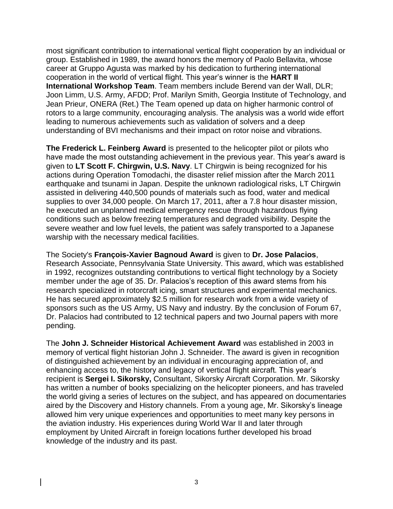most significant contribution to international vertical flight cooperation by an individual or group. Established in 1989, the award honors the memory of Paolo Bellavita, whose career at Gruppo Agusta was marked by his dedication to furthering international cooperation in the world of vertical flight. This year's winner is the **HART II International Workshop Team**. Team members include Berend van der Wall, DLR; Joon Limm, U.S. Army, AFDD; Prof. Marilyn Smith, Georgia Institute of Technology, and Jean Prieur, ONERA (Ret.) The Team opened up data on higher harmonic control of rotors to a large community, encouraging analysis. The analysis was a world wide effort leading to numerous achievements such as validation of solvers and a deep understanding of BVI mechanisms and their impact on rotor noise and vibrations.

**The Frederick L. Feinberg Award** is presented to the helicopter pilot or pilots who have made the most outstanding achievement in the previous year. This year's award is given to **LT Scott F. Chirgwin, U.S. Navy**. LT Chirgwin is being recognized for his actions during Operation Tomodachi, the disaster relief mission after the March 2011 earthquake and tsunami in Japan. Despite the unknown radiological risks, LT Chirgwin assisted in delivering 440,500 pounds of materials such as food, water and medical supplies to over 34,000 people. On March 17, 2011, after a 7.8 hour disaster mission, he executed an unplanned medical emergency rescue through hazardous flying conditions such as below freezing temperatures and degraded visibility. Despite the severe weather and low fuel levels, the patient was safely transported to a Japanese warship with the necessary medical facilities.

The Society's **François-Xavier Bagnoud Award** is given to **Dr. Jose Palacios**, Research Associate, Pennsylvania State University. This award, which was established in 1992, recognizes outstanding contributions to vertical flight technology by a Society member under the age of 35. Dr. Palacios's reception of this award stems from his research specialized in rotorcraft icing, smart structures and experimental mechanics. He has secured approximately \$2.5 million for research work from a wide variety of sponsors such as the US Army, US Navy and industry. By the conclusion of Forum 67, Dr. Palacios had contributed to 12 technical papers and two Journal papers with more pending.

The **John J. Schneider Historical Achievement Award** was established in 2003 in memory of vertical flight historian John J. Schneider. The award is given in recognition of distinguished achievement by an individual in encouraging appreciation of, and enhancing access to, the history and legacy of vertical flight aircraft. This year's recipient is **Sergei I. Sikorsky,** Consultant, Sikorsky Aircraft Corporation. Mr. Sikorsky has written a number of books specializing on the helicopter pioneers, and has traveled the world giving a series of lectures on the subject, and has appeared on documentaries aired by the Discovery and History channels. From a young age, Mr. Sikorsky's lineage allowed him very unique experiences and opportunities to meet many key persons in the aviation industry. His experiences during World War II and later through employment by United Aircraft in foreign locations further developed his broad knowledge of the industry and its past.